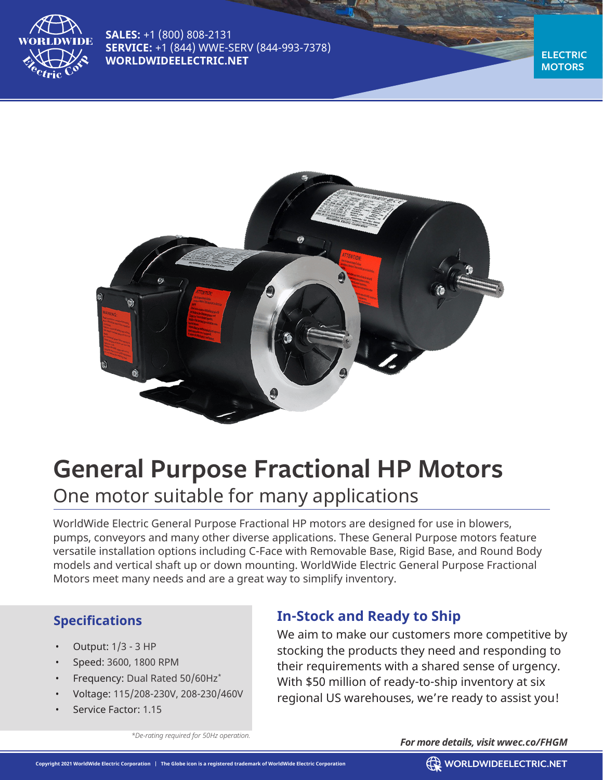

**SALES:** +1 (800) 808-2131 **SERVICE:** +1 (844) WWE-SERV (844-993-7378) **WORLDWIDEELECTRIC.NET** 

**MOTORS**



# **General Purpose Fractional HP Motors** One motor suitable for many applications

WorldWide Electric General Purpose Fractional HP motors are designed for use in blowers, pumps, conveyors and many other diverse applications. These General Purpose motors feature versatile installation options including C-Face with Removable Base, Rigid Base, and Round Body models and vertical shaft up or down mounting. WorldWide Electric General Purpose Fractional Motors meet many needs and are a great way to simplify inventory.

## **Specifications**

- Output: 1/3 3 HP
- Speed: 3600, 1800 RPM
- Frequency: Dual Rated 50/60Hz\*
- Voltage: 115/208-230V, 208-230/460V
- Service Factor: 1.15

# **In-Stock and Ready to Ship**

We aim to make our customers more competitive by stocking the products they need and responding to their requirements with a shared sense of urgency. With \$50 million of ready-to-ship inventory at six regional US warehouses, we're ready to assist you!

*\*De-rating required for 50Hz operation.*

#### *For more details, visit wwec.co/FHGM*